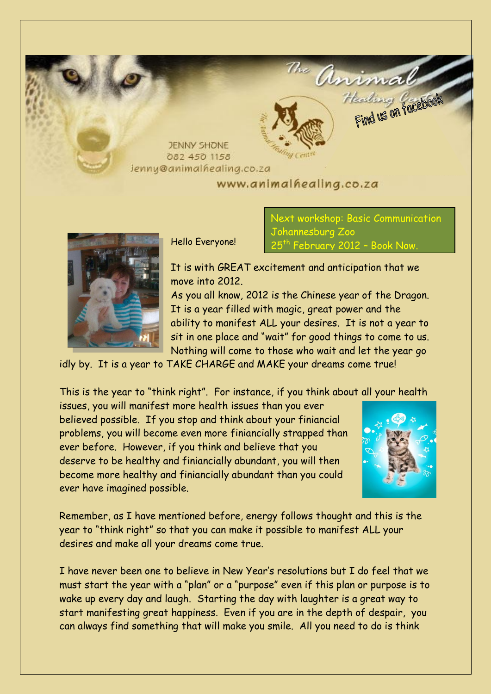**JENNY SHONE** 082 450 1158 **Jenny@animalhealing.co.za** 

# www.animalhealing.co.za



Hello Everyone!

Next workshop: Basic Communication Johannesburg Zoo <sup>th</sup> February 2012 – Book Now.

anima

Heading Pacebool

It is with GREAT excitement and anticipation that we move into 2012.

As you all know, 2012 is the Chinese year of the Dragon. It is a year filled with magic, great power and the ability to manifest ALL your desires. It is not a year to sit in one place and "wait" for good things to come to us. Nothing will come to those who wait and let the year go

idly by. It is a year to TAKE CHARGE and MAKE your dreams come true!

This is the year to "think right". For instance, if you think about all your health

issues, you will manifest more health issues than you ever believed possible. If you stop and think about your finiancial problems, you will become even more finiancially strapped than ever before. However, if you think and believe that you deserve to be healthy and finiancially abundant, you will then become more healthy and finiancially abundant than you could ever have imagined possible.



Remember, as I have mentioned before, energy follows thought and this is the year to "think right" so that you can make it possible to manifest ALL your desires and make all your dreams come true.

I have never been one to believe in New Year's resolutions but I do feel that we must start the year with a "plan" or a "purpose" even if this plan or purpose is to wake up every day and laugh. Starting the day with laughter is a great way to start manifesting great happiness. Even if you are in the depth of despair, you can always find something that will make you smile. All you need to do is think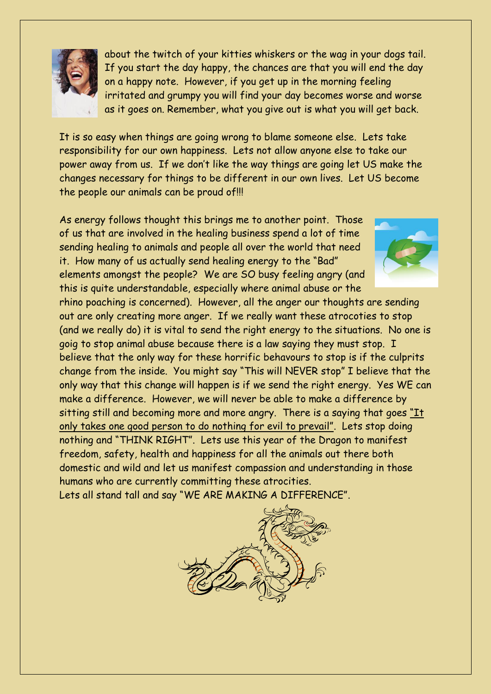

about the twitch of your kitties whiskers or the wag in your dogs tail. If you start the day happy, the chances are that you will end the day on a happy note. However, if you get up in the morning feeling irritated and grumpy you will find your day becomes worse and worse as it goes on. Remember, what you give out is what you will get back.

It is so easy when things are going wrong to blame someone else. Lets take responsibility for our own happiness. Lets not allow anyone else to take our power away from us. If we don't like the way things are going let US make the changes necessary for things to be different in our own lives. Let US become the people our animals can be proud of!!!

As energy follows thought this brings me to another point. Those of us that are involved in the healing business spend a lot of time sending healing to animals and people all over the world that need it. How many of us actually send healing energy to the "Bad" elements amongst the people? We are SO busy feeling angry (and this is quite understandable, especially where animal abuse or the



rhino poaching is concerned). However, all the anger our thoughts are sending out are only creating more anger. If we really want these atrocoties to stop (and we really do) it is vital to send the right energy to the situations. No one is goig to stop animal abuse because there is a law saying they must stop. I believe that the only way for these horrific behavours to stop is if the culprits change from the inside. You might say "This will NEVER stop" I believe that the only way that this change will happen is if we send the right energy. Yes WE can make a difference. However, we will never be able to make a difference by sitting still and becoming more and more angry. There is a saying that goes "It only takes one good person to do nothing for evil to prevail". Lets stop doing nothing and "THINK RIGHT". Lets use this year of the Dragon to manifest freedom, safety, health and happiness for all the animals out there both domestic and wild and let us manifest compassion and understanding in those humans who are currently committing these atrocities. Lets all stand tall and say "WE ARE MAKING A DIFFERENCE".

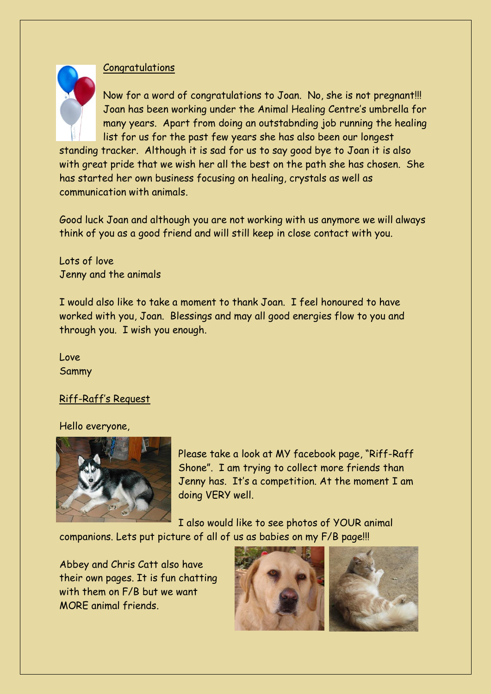## **Congratulations**



Now for a word of congratulations to Joan. No, she is not pregnant!!! Joan has been working under the Animal Healing Centre's umbrella for many years. Apart from doing an outstabnding job running the healing list for us for the past few years she has also been our longest

standing tracker. Although it is sad for us to say good bye to Joan it is also with great pride that we wish her all the best on the path she has chosen. She has started her own business focusing on healing, crystals as well as communication with animals.

Good luck Joan and although you are not working with us anymore we will always think of you as a good friend and will still keep in close contact with you.

Lots of love Jenny and the animals

I would also like to take a moment to thank Joan. I feel honoured to have worked with you, Joan. Blessings and may all good energies flow to you and through you. I wish you enough.

Love Sammy

## Riff-Raff's Request

#### Hello everyone,



Please take a look at MY facebook page, "Riff-Raff Shone". I am trying to collect more friends than Jenny has. It's a competition. At the moment I am doing VERY well.

I also would like to see photos of YOUR animal

companions. Lets put picture of all of us as babies on my F/B page!!!

Abbey and Chris Catt also have their own pages. It is fun chatting with them on F/B but we want MORE animal friends.

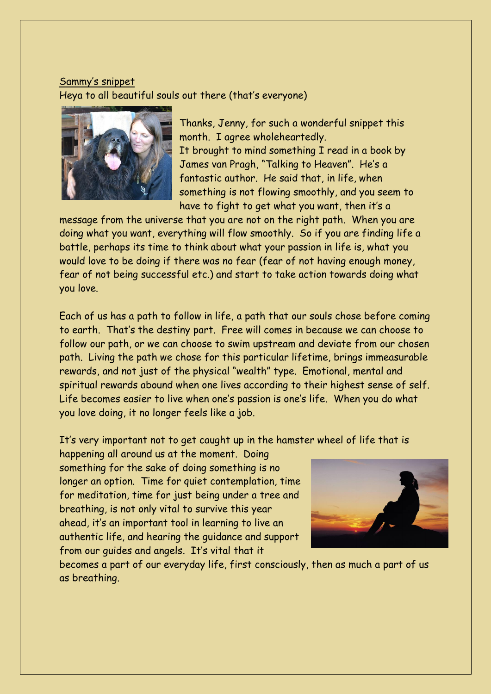# Sammy's snippet Heya to all beautiful souls out there (that's everyone)



Thanks, Jenny, for such a wonderful snippet this month. I agree wholeheartedly. It brought to mind something I read in a book by James van Pragh, "Talking to Heaven". He's a fantastic author. He said that, in life, when something is not flowing smoothly, and you seem to have to fight to get what you want, then it's a

message from the universe that you are not on the right path. When you are doing what you want, everything will flow smoothly. So if you are finding life a battle, perhaps its time to think about what your passion in life is, what you would love to be doing if there was no fear (fear of not having enough money, fear of not being successful etc.) and start to take action towards doing what you love.

Each of us has a path to follow in life, a path that our souls chose before coming to earth. That's the destiny part. Free will comes in because we can choose to follow our path, or we can choose to swim upstream and deviate from our chosen path. Living the path we chose for this particular lifetime, brings immeasurable rewards, and not just of the physical "wealth" type. Emotional, mental and spiritual rewards abound when one lives according to their highest sense of self. Life becomes easier to live when one's passion is one's life. When you do what you love doing, it no longer feels like a job.

It's very important not to get caught up in the hamster wheel of life that is

happening all around us at the moment. Doing something for the sake of doing something is no longer an option. Time for quiet contemplation, time for meditation, time for just being under a tree and breathing, is not only vital to survive this year ahead, it's an important tool in learning to live an authentic life, and hearing the guidance and support from our guides and angels. It's vital that it



becomes a part of our everyday life, first consciously, then as much a part of us as breathing.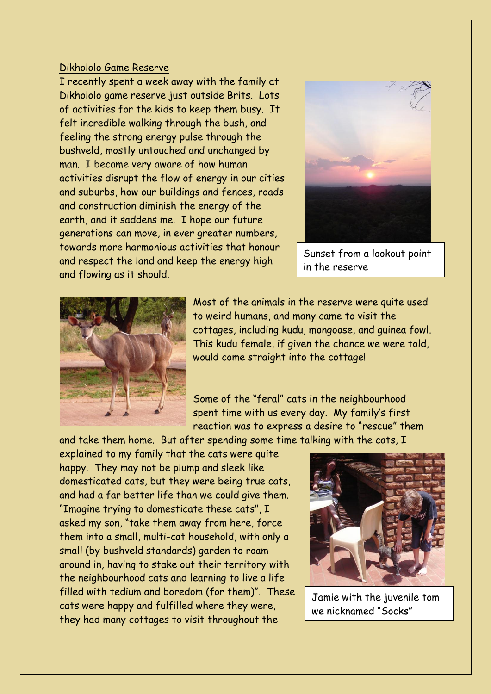### Dikhololo Game Reserve

I recently spent a week away with the family at Dikhololo game reserve just outside Brits. Lots of activities for the kids to keep them busy. It felt incredible walking through the bush, and feeling the strong energy pulse through the bushveld, mostly untouched and unchanged by man. I became very aware of how human activities disrupt the flow of energy in our cities and suburbs, how our buildings and fences, roads and construction diminish the energy of the earth, and it saddens me. I hope our future generations can move, in ever greater numbers, towards more harmonious activities that honour and respect the land and keep the energy high and flowing as it should.



Sunset from a lookout point in the reserve



Most of the animals in the reserve were quite used to weird humans, and many came to visit the cottages, including kudu, mongoose, and guinea fowl. This kudu female, if given the chance we were told, would come straight into the cottage!

Some of the "feral" cats in the neighbourhood spent time with us every day. My family's first reaction was to express a desire to "rescue" them

and take them home. But after spending some time talking with the cats, I explained to my family that the cats were quite happy. They may not be plump and sleek like domesticated cats, but they were being true cats, and had a far better life than we could give them. "Imagine trying to domesticate these cats", I asked my son, "take them away from here, force them into a small, multi-cat household, with only a small (by bushveld standards) garden to roam around in, having to stake out their territory with the neighbourhood cats and learning to live a life filled with tedium and boredom (for them)". These cats were happy and fulfilled where they were, they had many cottages to visit throughout the



Jamie with the juvenile tom we nicknamed "Socks"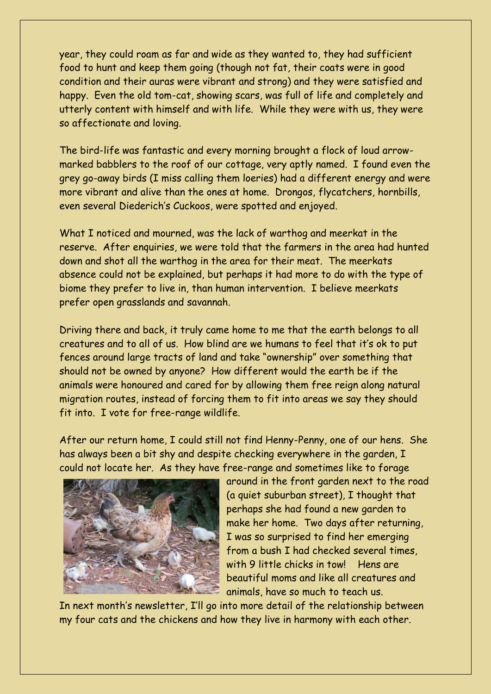year, they could roam as far and wide as they wanted to, they had sufficient food to hunt and keep them going (though not fat, their coats were in good condition and their auras were vibrant and strong) and they were satisfied and happy. Even the old tom-cat, showing scars, was full of life and completely and utterly content with himself and with life. While they were with us, they were so affectionate and loving.

The bird-life was fantastic and every morning brought a flock of loud arrowmarked babblers to the roof of our cottage, very aptly named. I found even the grey go-away birds (I miss calling them loeries) had a different energy and were more vibrant and alive than the ones at home. Drongos, flycatchers, hornbills, even several Diederich's Cuckoos, were spotted and enjoyed.

What I noticed and mourned, was the lack of warthog and meerkat in the reserve. After enquiries, we were told that the farmers in the area had hunted down and shot all the warthog in the area for their meat. The meerkats absence could not be explained, but perhaps it had more to do with the type of biome they prefer to live in, than human intervention. I believe meerkats prefer open grasslands and savannah.

Driving there and back, it truly came home to me that the earth belongs to all creatures and to all of us. How blind are we humans to feel that it's ok to put fences around large tracts of land and take "ownership" over something that should not be owned by anyone? How different would the earth be if the animals were honoured and cared for by allowing them free reign along natural migration routes, instead of forcing them to fit into areas we say they should fit into. I vote for free-range wildlife.

After our return home, I could still not find Henny-Penny, one of our hens. She has always been a bit shy and despite checking everywhere in the garden, I could not locate her. As they have free-range and sometimes like to forage



around in the front garden next to the road (a quiet suburban street), I thought that perhaps she had found a new garden to make her home. Two days after returning, I was so surprised to find her emerging from a bush I had checked several times, with 9 little chicks in tow! Hens are beautiful moms and like all creatures and animals, have so much to teach us.

In next month's newsletter, I'll go into more detail of the relationship between my four cats and the chickens and how they live in harmony with each other.